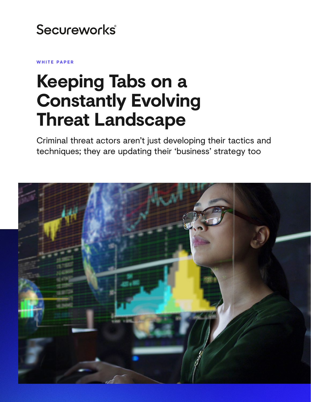## Secureworks®

**WHITE PAPER**

# **Keeping Tabs on a Constantly Evolving Threat Landscape**

Criminal threat actors aren't just developing their tactics and techniques; they are updating their 'business' strategy too

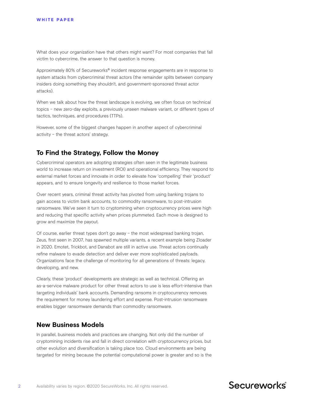What does your organization have that others might want? For most companies that fall victim to cybercrime, the answer to that question is money.

Approximately 80% of Secureworks® incident response engagements are in response to system attacks from cybercriminal threat actors (the remainder splits between company insiders doing something they shouldn't, and government-sponsored threat actor attacks).

When we talk about how the threat landscape is evolving, we often focus on technical topics – new zero-day exploits, a previously unseen malware variant, or different types of tactics, techniques, and procedures (TTPs).

However, some of the biggest changes happen in another aspect of cybercriminal activity – the threat actors' strategy.

## **To Find the Strategy, Follow the Money**

Cybercriminal operators are adopting strategies often seen in the legitimate business world to increase return on investment (ROI) and operational efficiency. They respond to external market forces and innovate in order to elevate how 'compelling' their 'product' appears, and to ensure longevity and resilience to those market forces.

Over recent years, criminal threat activity has pivoted from using banking trojans to gain access to victim bank accounts, to commodity ransomware, to post-intrusion ransomware. We've seen it turn to cryptomining when cryptocurrency prices were high and reducing that specific activity when prices plummeted. Each move is designed to grow and maximize the payout.

Of course, earlier threat types don't go away – the most widespread banking trojan, Zeus, first seen in 2007, has spawned multiple variants, a recent example being Zloader in 2020. Emotet, Trickbot, and Danabot are still in active use. Threat actors continually refine malware to evade detection and deliver ever more sophisticated payloads. Organizations face the challenge of monitoring for all generations of threats: legacy, developing, and new.

Clearly, these 'product' developments are strategic as well as technical. Offering an as-a-service malware product for other threat actors to use is less effort-intensive than targeting individuals' bank accounts. Demanding ransoms in cryptocurrency removes the requirement for money laundering effort and expense. Post-intrusion ransomware enables bigger ransomware demands than commodity ransomware.

### **New Business Models**

In parallel, business models and practices are changing. Not only did the number of cryptomining incidents rise and fall in direct correlation with cryptocurrency prices, but other evolution and diversification is taking place too. Cloud environments are being targeted for mining because the potential computational power is greater and so is the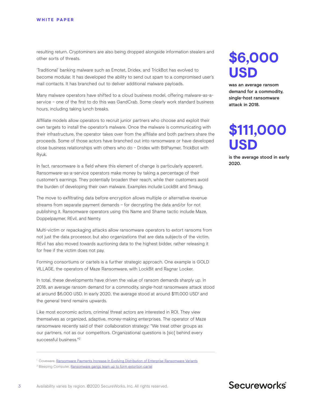resulting return. Cryptominers are also being dropped alongside information stealers and other sorts of threats.

'Traditional' banking malware such as Emotet, Dridex, and TrickBot has evolved to become modular. It has developed the ability to send out spam to a compromised user's mail contacts. It has branched out to deliver additional malware payloads.

Many malware operators have shifted to a cloud business model, offering malware-as-aservice – one of the first to do this was GandCrab. Some clearly work standard business hours, including taking lunch breaks.

Affiliate models allow operators to recruit junior partners who choose and exploit their own targets to install the operator's malware. Once the malware is communicating with their infrastructure, the operator takes over from the affiliate and both partners share the proceeds. Some of those actors have branched out into ransomware or have developed close business relationships with others who do – Dridex with BitPaymer, TrickBot with Ryuk.

In fact, ransomware is a field where this element of change is particularly apparent. Ransomware-as-a-service operators make money by taking a percentage of their customer's earnings. They potentially broaden their reach, while their customers avoid the burden of developing their own malware. Examples include LockBit and Smaug.

The move to exfiltrating data before encryption allows multiple or alternative revenue streams from separate payment demands – for decrypting the data and/or for not publishing it. Ransomware operators using this Name and Shame tactic include Maze, Doppelpaymer, REvil, and Nemty.

Multi-victim or repackaging attacks allow ransomware operators to extort ransoms from not just the data processor, but also organizations that are data subjects of the victim. REvil has also moved towards auctioning data to the highest bidder, rather releasing it for free if the victim does not pay.

Forming consortiums or cartels is a further strategic approach. One example is GOLD VILLAGE, the operators of Maze Ransomware, with LockBit and Ragnar Locker.

In total, these developments have driven the value of ransom demands sharply up. In 2018, an average ransom demand for a commodity, single-host ransomware attack stood at around \$6,000 USD. In early 2020, the average stood at around \$111,000 USD<sup>1</sup> and the general trend remains upwards.

Like most economic actors, criminal threat actors are interested in ROI. They view themselves as organized, adaptive, money-making enterprises. The operator of Maze ransomware recently said of their collaboration strategy: "We treat other groups as our partners, not as our competitors. Organizational questions is [sic] behind every successful business."2

## **\$6,000 USD**

was an average ransom demand for a commodity, single-host ransomware attack in 2018.

## **\$111,000 USD**

is the average stood in early 2020.

<sup>&</sup>lt;sup>1</sup> Coveware, [Ransomware Payments Increase In Evolving Distribution of Enterprise Ransomware Variants](https://www.coveware.com/blog/q1-2020-ransomware-marketplace-report)

<sup>&</sup>lt;sup>2</sup> Bleeping Computer, [Ransomware gangs team up to form extortion cartel](https://www.bleepingcomputer.com/news/security/ransomware-gangs-team-up-to-form-extortion-cartel/)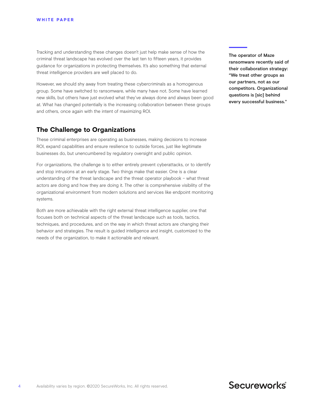Tracking and understanding these changes doesn't just help make sense of how the criminal threat landscape has evolved over the last ten to fifteen years, it provides guidance for organizations in protecting themselves. It's also something that external threat intelligence providers are well placed to do.

However, we should shy away from treating these cybercriminals as a homogenous group. Some have switched to ransomware, while many have not. Some have learned new skills, but others have just evolved what they've always done and always been good at. What has changed potentially is the increasing collaboration between these groups and others, once again with the intent of maximizing ROI.

### **The Challenge to Organizations**

These criminal enterprises are operating as businesses, making decisions to increase ROI, expand capabilities and ensure resilience to outside forces, just like legitimate businesses do, but unencumbered by regulatory oversight and public opinion.

For organizations, the challenge is to either entirely prevent cyberattacks, or to identify and stop intrusions at an early stage. Two things make that easier. One is a clear understanding of the threat landscape and the threat operator playbook – what threat actors are doing and how they are doing it. The other is comprehensive visibility of the organizational environment from modern solutions and services like endpoint monitoring systems.

Both are more achievable with the right external threat intelligence supplier, one that focuses both on technical aspects of the threat landscape such as tools, tactics, techniques, and procedures, and on the way in which threat actors are changing their behavior and strategies. The result is guided intelligence and insight, customized to the needs of the organization, to make it actionable and relevant.

The operator of Maze ransomware recently said of their collaboration strategy: "We treat other groups as our partners, not as our competitors. Organizational questions is [sic] behind every successful business."